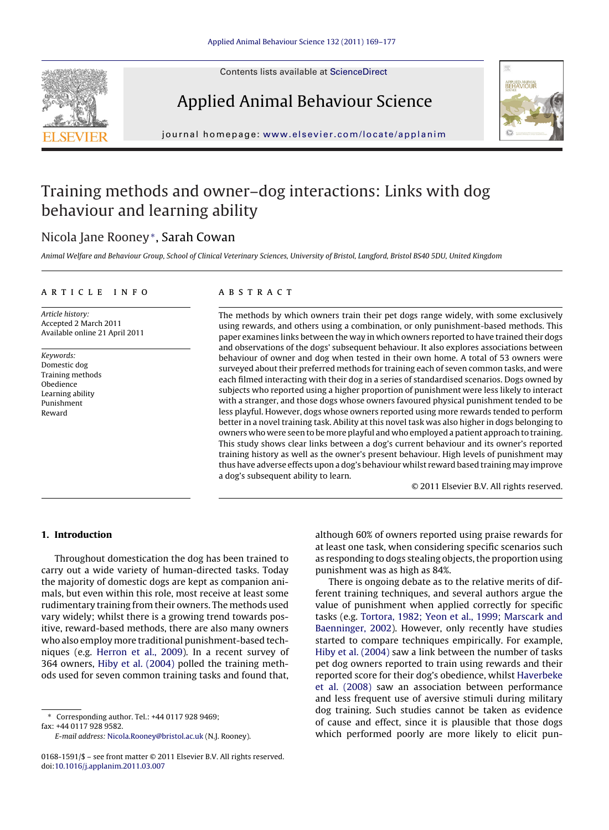Contents lists available at [ScienceDirect](http://www.sciencedirect.com/science/journal/01681591)







journal homepage: [www.elsevier.com/locate/applanim](http://www.elsevier.com/locate/applanim)

# Training methods and owner–dog interactions: Links with dog behaviour and learning ability

# Nicola Jane Rooney∗, Sarah Cowan

Animal Welfare and Behaviour Group, School of Clinical Veterinary Sciences, University of Bristol, Langford, Bristol BS40 5DU, United Kingdom

# article info

Article history: Accepted 2 March 2011 Available online 21 April 2011

Keywords: Domestic dog Training methods Obedience Learning ability Punishment Reward

# ABSTRACT

The methods by which owners train their pet dogs range widely, with some exclusively using rewards, and others using a combination, or only punishment-based methods. This paper examines links between the way in which owners reported to have trained their dogs and observations of the dogs' subsequent behaviour. It also explores associations between behaviour of owner and dog when tested in their own home. A total of 53 owners were surveyed about their preferred methods for training each of seven common tasks, and were each filmed interacting with their dog in a series of standardised scenarios. Dogs owned by subjects who reported using a higher proportion of punishment were less likely to interact with a stranger, and those dogs whose owners favoured physical punishment tended to be less playful. However, dogs whose owners reported using more rewards tended to perform better in a novel training task. Ability at this novel task was also higher in dogs belonging to owners who were seen to be more playful and who employed a patient approach to training. This study shows clear links between a dog's current behaviour and its owner's reported training history as well as the owner's present behaviour. High levels of punishment may thus have adverse effects upon a dog's behaviour whilst reward based training may improve a dog's subsequent ability to learn.

© 2011 Elsevier B.V. All rights reserved.

# **1. Introduction**

Throughout domestication the dog has been trained to carry out a wide variety of human-directed tasks. Today the majority of domestic dogs are kept as companion animals, but even within this role, most receive at least some rudimentary training from their owners. The methods used vary widely; whilst there is a growing trend towards positive, reward-based methods, there are also many owners who also employ more traditional punishment-based techniques (e.g. [Herron et al., 2009\).](#page-8-0) In a recent survey of 364 owners, [Hiby et al. \(2004\)](#page-8-0) polled the training methods used for seven common training tasks and found that,

∗ Corresponding author. Tel.: +44 0117 928 9469;

fax: +44 0117 928 9582.

E-mail address: [Nicola.Rooney@bristol.ac.uk](mailto:Nicola.Rooney@bristol.ac.uk) (N.J. Rooney).

although 60% of owners reported using praise rewards for at least one task, when considering specific scenarios such as responding to dogs stealing objects, the proportion using punishment was as high as 84%.

There is ongoing debate as to the relative merits of different training techniques, and several authors argue the value of punishment when applied correctly for specific tasks (e.g. [Tortora, 1982; Yeon et al., 1999; Marscark and](#page-8-0) [Baenninger, 2002\).](#page-8-0) However, only recently have studies started to compare techniques empirically. For example, [Hiby et al. \(2004\)](#page-8-0) saw a link between the number of tasks pet dog owners reported to train using rewards and their reported score for their dog's obedience, whilst [Haverbeke](#page-8-0) [et al. \(2008\)](#page-8-0) saw an association between performance and less frequent use of aversive stimuli during military dog training. Such studies cannot be taken as evidence of cause and effect, since it is plausible that those dogs which performed poorly are more likely to elicit pun-

<sup>0168-1591/\$ –</sup> see front matter © 2011 Elsevier B.V. All rights reserved. doi:[10.1016/j.applanim.2011.03.007](dx.doi.org/10.1016/j.applanim.2011.03.007)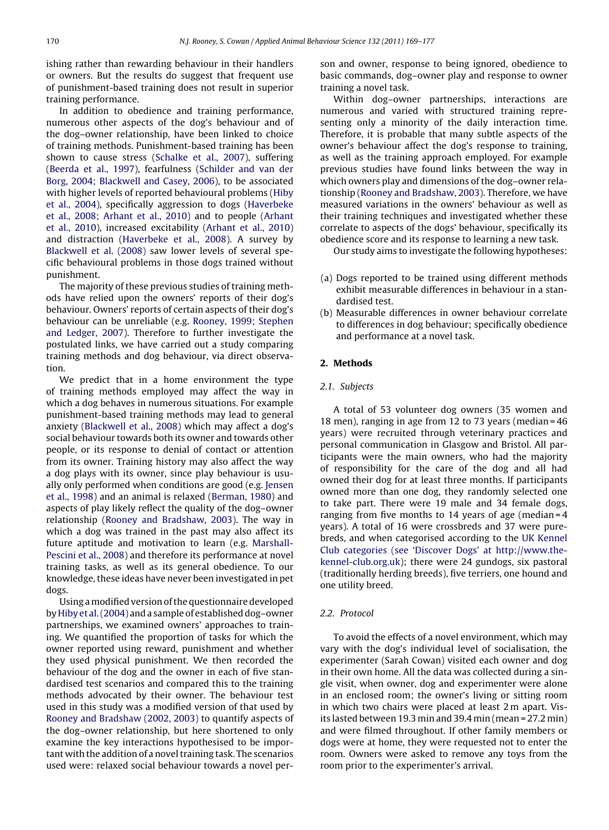ishing rather than rewarding behaviour in their handlers or owners. But the results do suggest that frequent use of punishment-based training does not result in superior training performance.

In addition to obedience and training performance, numerous other aspects of the dog's behaviour and of the dog–owner relationship, have been linked to choice of training methods. Punishment-based training has been shown to cause stress [\(Schalke et al., 2007\),](#page-8-0) suffering [\(Beerda et al., 1997\),](#page-8-0) fearfulness [\(Schilder and van der](#page-8-0) [Borg, 2004; Blackwell and Casey, 2006\),](#page-8-0) to be associated with higher levels of reported behavioural problems [\(Hiby](#page-8-0) [et al., 2004\),](#page-8-0) specifically aggression to dogs ([Haverbeke](#page-8-0) [et al., 2008; Arhant et al., 2010\)](#page-8-0) and to people [\(Arhant](#page-8-0) [et al., 2010\),](#page-8-0) increased excitability ([Arhant et al., 2010\)](#page-8-0) and distraction ([Haverbeke et al., 2008\).](#page-8-0) A survey by [Blackwell et al. \(2008\)](#page-8-0) saw lower levels of several specific behavioural problems in those dogs trained without punishment.

The majority of these previous studies of training methods have relied upon the owners' reports of their dog's behaviour. Owners' reports of certain aspects of their dog's behaviour can be unreliable (e.g. [Rooney, 1999; Stephen](#page-8-0) [and Ledger, 2007\).](#page-8-0) Therefore to further investigate the postulated links, we have carried out a study comparing training methods and dog behaviour, via direct observation.

We predict that in a home environment the type of training methods employed may affect the way in which a dog behaves in numerous situations. For example punishment-based training methods may lead to general anxiety ([Blackwell et al., 2008\)](#page-8-0) which may affect a dog's social behaviour towards both its owner and towards other people, or its response to denial of contact or attention from its owner. Training history may also affect the way a dog plays with its owner, since play behaviour is usually only performed when conditions are good (e.g. [Jensen](#page-8-0) [et al., 1998\)](#page-8-0) and an animal is relaxed [\(Berman, 1980\)](#page-8-0) and aspects of play likely reflect the quality of the dog–owner relationship [\(Rooney and Bradshaw, 2003\).](#page-8-0) The way in which a dog was trained in the past may also affect its future aptitude and motivation to learn (e.g. [Marshall-](#page-8-0)Pescini [et al., 2008\)](#page-8-0) and therefore its performance at novel training tasks, as well as its general obedience. To our knowledge, these ideas have never been investigated in pet dogs.

Using amodified version of the questionnaire developed by[Hiby et al. \(2004\)](#page-8-0) and a sample of established dog–owner partnerships, we examined owners' approaches to training. We quantified the proportion of tasks for which the owner reported using reward, punishment and whether they used physical punishment. We then recorded the behaviour of the dog and the owner in each of five standardised test scenarios and compared this to the training methods advocated by their owner. The behaviour test used in this study was a modified version of that used by [Rooney and Bradshaw \(2002, 2003\)](#page-8-0) to quantify aspects of the dog–owner relationship, but here shortened to only examine the key interactions hypothesised to be important with the addition of a novel training task. The scenarios used were: relaxed social behaviour towards a novel person and owner, response to being ignored, obedience to basic commands, dog–owner play and response to owner training a novel task.

Within dog–owner partnerships, interactions are numerous and varied with structured training representing only a minority of the daily interaction time. Therefore, it is probable that many subtle aspects of the owner's behaviour affect the dog's response to training, as well as the training approach employed. For example previous studies have found links between the way in which owners play and dimensions of the dog–owner relationship ([Rooney and Bradshaw, 2003\).](#page-8-0) Therefore, we have measured variations in the owners' behaviour as well as their training techniques and investigated whether these correlate to aspects of the dogs' behaviour, specifically its obedience score and its response to learning a new task.

Our study aims to investigate the following hypotheses:

- (a) Dogs reported to be trained using different methods exhibit measurable differences in behaviour in a standardised test.
- (b) Measurable differences in owner behaviour correlate to differences in dog behaviour; specifically obedience and performance at a novel task.

# **2. Methods**

# 2.1. Subjects

A total of 53 volunteer dog owners (35 women and 18 men), ranging in age from 12 to 73 years (median = 46 years) were recruited through veterinary practices and personal communication in Glasgow and Bristol. All participants were the main owners, who had the majority of responsibility for the care of the dog and all had owned their dog for at least three months. If participants owned more than one dog, they randomly selected one to take part. There were 19 male and 34 female dogs, ranging from five months to 14 years of age (median = 4 years). A total of 16 were crossbreds and 37 were purebreds, and when categorised according to the [UK Kennel](#page-8-0) [Club categories \(see 'Discover Dogs' at](#page-8-0) [http://www.the](http://www.the-kennel-club.org.uk/)kennel-club.org.uk); there were 24 gundogs, six pastoral (traditionally herding breeds), five terriers, one hound and one utility breed.

# 2.2. Protocol

To avoid the effects of a novel environment, which may vary with the dog's individual level of socialisation, the experimenter (Sarah Cowan) visited each owner and dog in their own home. All the data was collected during a single visit, when owner, dog and experimenter were alone in an enclosed room; the owner's living or sitting room in which two chairs were placed at least 2 m apart. Visits lasted between 19.3 min and 39.4 min (mean = 27.2 min) and were filmed throughout. If other family members or dogs were at home, they were requested not to enter the room. Owners were asked to remove any toys from the room prior to the experimenter's arrival.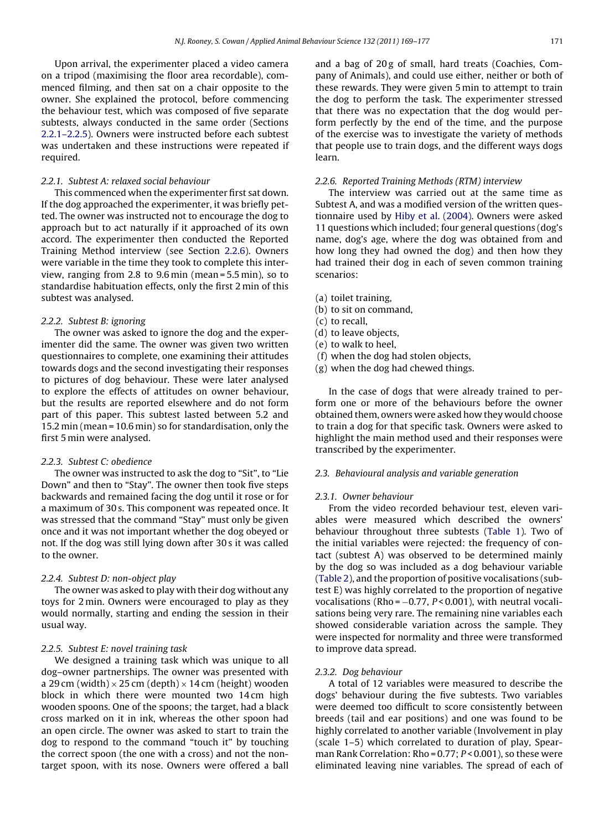Upon arrival, the experimenter placed a video camera on a tripod (maximising the floor area recordable), commenced filming, and then sat on a chair opposite to the owner. She explained the protocol, before commencing the behaviour test, which was composed of five separate subtests, always conducted in the same order (Sections 2.2.1–2.2.5). Owners were instructed before each subtest was undertaken and these instructions were repeated if required.

# 2.2.1. Subtest A: relaxed social behaviour

This commenced when the experimenter first sat down. If the dog approached the experimenter, it was briefly petted. The owner was instructed not to encourage the dog to approach but to act naturally if it approached of its own accord. The experimenter then conducted the Reported Training Method interview (see Section 2.2.6). Owners were variable in the time they took to complete this interview, ranging from 2.8 to 9.6 min (mean = 5.5 min), so to standardise habituation effects, only the first 2 min of this subtest was analysed.

# 2.2.2. Subtest B: ignoring

The owner was asked to ignore the dog and the experimenter did the same. The owner was given two written questionnaires to complete, one examining their attitudes towards dogs and the second investigating their responses to pictures of dog behaviour. These were later analysed to explore the effects of attitudes on owner behaviour, but the results are reported elsewhere and do not form part of this paper. This subtest lasted between 5.2 and 15.2 min (mean = 10.6 min) so for standardisation, only the first 5 min were analysed.

# 2.2.3. Subtest C: obedience

The owner was instructed to ask the dog to "Sit", to "Lie Down" and then to "Stay". The owner then took five steps backwards and remained facing the dog until it rose or for a maximum of 30 s. This component was repeated once. It was stressed that the command "Stay" must only be given once and it was not important whether the dog obeyed or not. If the dog was still lying down after 30 s it was called to the owner.

# 2.2.4. Subtest D: non-object play

The owner was asked to play with their dog without any toys for 2 min. Owners were encouraged to play as they would normally, starting and ending the session in their usual way.

# 2.2.5. Subtest E: novel training task

We designed a training task which was unique to all dog–owner partnerships. The owner was presented with a 29 cm (width)  $\times$  25 cm (depth)  $\times$  14 cm (height) wooden block in which there were mounted two 14 cm high wooden spoons. One of the spoons; the target, had a black cross marked on it in ink, whereas the other spoon had an open circle. The owner was asked to start to train the dog to respond to the command "touch it" by touching the correct spoon (the one with a cross) and not the nontarget spoon, with its nose. Owners were offered a ball and a bag of 20 g of small, hard treats (Coachies, Company of Animals), and could use either, neither or both of these rewards. They were given 5 min to attempt to train the dog to perform the task. The experimenter stressed that there was no expectation that the dog would perform perfectly by the end of the time, and the purpose of the exercise was to investigate the variety of methods that people use to train dogs, and the different ways dogs learn.

# 2.2.6. Reported Training Methods (RTM) interview

The interview was carried out at the same time as Subtest A, and was a modified version of the written questionnaire used by [Hiby et al. \(2004\). O](#page-8-0)wners were asked 11 questions which included; four general questions (dog's name, dog's age, where the dog was obtained from and how long they had owned the dog) and then how they had trained their dog in each of seven common training scenarios:

- (a) toilet training,
- (b) to sit on command,
- (c) to recall,
- (d) to leave objects,
- (e) to walk to heel,
- (f) when the dog had stolen objects,
- (g) when the dog had chewed things.

In the case of dogs that were already trained to perform one or more of the behaviours before the owner obtained them, owners were asked how they would choose to train a dog for that specific task. Owners were asked to highlight the main method used and their responses were transcribed by the experimenter.

# 2.3. Behavioural analysis and variable generation

# 2.3.1. Owner behaviour

From the video recorded behaviour test, eleven variables were measured which described the owners' behaviour throughout three subtests [\(Table 1\)](#page-3-0). Two of the initial variables were rejected: the frequency of contact (subtest A) was observed to be determined mainly by the dog so was included as a dog behaviour variable [\(Table 2\),](#page-4-0) and the proportion of positive vocalisations (subtest E) was highly correlated to the proportion of negative vocalisations (Rho =  $-0.77$ ,  $P < 0.001$ ), with neutral vocalisations being very rare. The remaining nine variables each showed considerable variation across the sample. They were inspected for normality and three were transformed to improve data spread.

# 2.3.2. Dog behaviour

A total of 12 variables were measured to describe the dogs' behaviour during the five subtests. Two variables were deemed too difficult to score consistently between breeds (tail and ear positions) and one was found to be highly correlated to another variable (Involvement in play (scale 1–5) which correlated to duration of play, Spearman Rank Correlation: Rho = 0.77; P < 0.001), so these were eliminated leaving nine variables. The spread of each of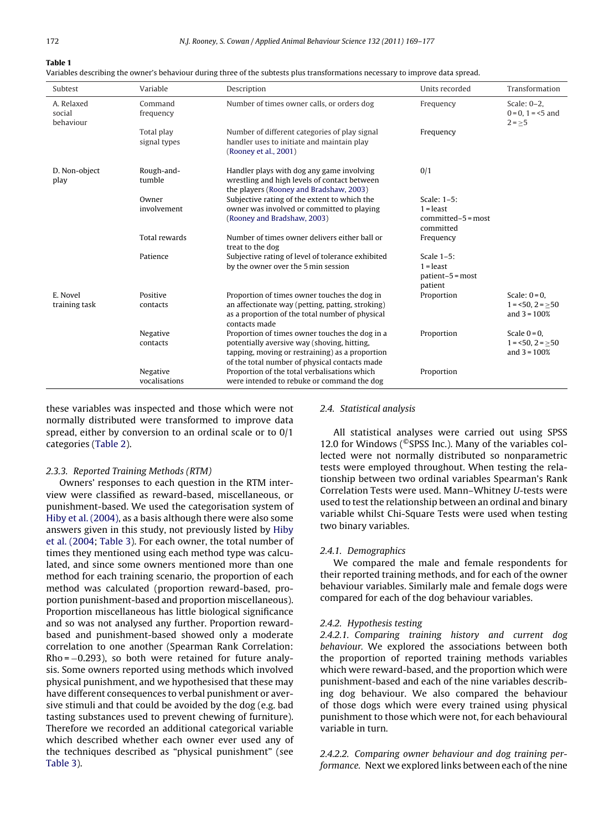### <span id="page-3-0"></span>**Table 1**

Variables describing the owner's behaviour during three of the subtests plus transformations necessary to improve data spread.

| Subtest                           | Variable                   | Description                                                                                                                                                                                       | Units recorded                                                | Transformation                                           |
|-----------------------------------|----------------------------|---------------------------------------------------------------------------------------------------------------------------------------------------------------------------------------------------|---------------------------------------------------------------|----------------------------------------------------------|
| A. Relaxed<br>social<br>behaviour | Command<br>frequency       | Number of times owner calls, or orders dog                                                                                                                                                        | Frequency                                                     | Scale: $0-2$ .<br>$0 = 0$ , 1 = <5 and<br>$2 = > 5$      |
|                                   | Total play<br>signal types | Number of different categories of play signal<br>handler uses to initiate and maintain play<br>(Rooney et al., 2001)                                                                              | Frequency                                                     |                                                          |
| D. Non-object<br>play             | Rough-and-<br>tumble       | Handler plays with dog any game involving<br>wrestling and high levels of contact between<br>the players (Rooney and Bradshaw, 2003)                                                              | 0/1                                                           |                                                          |
|                                   | Owner                      | Subjective rating of the extent to which the                                                                                                                                                      | Scale: 1-5:                                                   |                                                          |
|                                   | involvement                | owner was involved or committed to playing<br>(Rooney and Bradshaw, 2003)                                                                                                                         | $1 =$ least<br>${\rm committed-5}$ = most<br>committed        |                                                          |
|                                   | <b>Total rewards</b>       | Number of times owner delivers either ball or<br>treat to the dog                                                                                                                                 | Frequency                                                     |                                                          |
|                                   | Patience                   | Subjective rating of level of tolerance exhibited<br>by the owner over the 5 min session                                                                                                          | Scale $1-5$ :<br>$1 =$ least<br>$patient-5 = most$<br>patient |                                                          |
| E. Novel                          | Positive                   | Proportion of times owner touches the dog in                                                                                                                                                      | Proportion                                                    | Scale: $0 = 0$ .                                         |
| training task                     | contacts                   | an affectionate way (petting, patting, stroking)<br>as a proportion of the total number of physical<br>contacts made                                                                              |                                                               | $1 = 50, 2 = 50$<br>and $3 = 100%$                       |
|                                   | Negative<br>contacts       | Proportion of times owner touches the dog in a<br>potentially aversive way (shoving, hitting,<br>tapping, moving or restraining) as a proportion<br>of the total number of physical contacts made | Proportion                                                    | Scale $0 = 0$ ,<br>$1 = 50$ , $2 = 50$<br>and $3 = 100%$ |
|                                   | Negative<br>vocalisations  | Proportion of the total verbalisations which<br>were intended to rebuke or command the dog                                                                                                        | Proportion                                                    |                                                          |

these variables was inspected and those which were not normally distributed were transformed to improve data spread, either by conversion to an ordinal scale or to 0/1 categories [\(Table 2\).](#page-4-0)

# 2.3.3. Reported Training Methods (RTM)

Owners' responses to each question in the RTM interview were classified as reward-based, miscellaneous, or punishment-based. We used the categorisation system of [Hiby et al. \(2004\), a](#page-8-0)s a basis although there were also some answers given in this study, not previously listed by [Hiby](#page-8-0) [et al. \(2004;](#page-8-0) [Table 3\).](#page-5-0) For each owner, the total number of times they mentioned using each method type was calculated, and since some owners mentioned more than one method for each training scenario, the proportion of each method was calculated (proportion reward-based, proportion punishment-based and proportion miscellaneous). Proportion miscellaneous has little biological significance and so was not analysed any further. Proportion rewardbased and punishment-based showed only a moderate correlation to one another (Spearman Rank Correlation:  $Rho = -0.293$ ), so both were retained for future analysis. Some owners reported using methods which involved physical punishment, and we hypothesised that these may have different consequences to verbal punishment or aversive stimuli and that could be avoided by the dog (e.g. bad tasting substances used to prevent chewing of furniture). Therefore we recorded an additional categorical variable which described whether each owner ever used any of the techniques described as "physical punishment" (see [Table 3\).](#page-5-0)

# 2.4. Statistical analysis

All statistical analyses were carried out using SPSS 12.0 for Windows (<sup>©</sup>SPSS Inc.). Many of the variables collected were not normally distributed so nonparametric tests were employed throughout. When testing the relationship between two ordinal variables Spearman's Rank Correlation Tests were used. Mann–Whitney U-tests were used to test the relationship between an ordinal and binary variable whilst Chi-Square Tests were used when testing two binary variables.

#### 2.4.1. Demographics

We compared the male and female respondents for their reported training methods, and for each of the owner behaviour variables. Similarly male and female dogs were compared for each of the dog behaviour variables.

# 2.4.2. Hypothesis testing

2.4.2.1. Comparing training history and current dog behaviour. We explored the associations between both the proportion of reported training methods variables which were reward-based, and the proportion which were punishment-based and each of the nine variables describing dog behaviour. We also compared the behaviour of those dogs which were every trained using physical punishment to those which were not, for each behavioural variable in turn.

2.4.2.2. Comparing owner behaviour and dog training performance. Next we explored links between each of the nine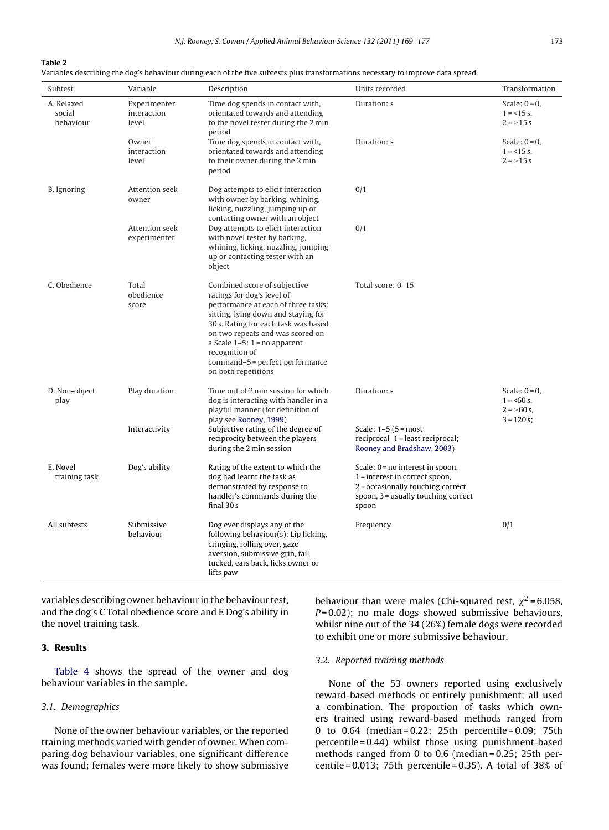Variables describing the dog's behaviour during each of the five subtests plus transformations necessary to improve data spread.

| Subtest                           | Variable                             | Description                                                                                                                                                                                                                                                                                                                          | Units recorded                                                                                                                                              | Transformation                                                   |
|-----------------------------------|--------------------------------------|--------------------------------------------------------------------------------------------------------------------------------------------------------------------------------------------------------------------------------------------------------------------------------------------------------------------------------------|-------------------------------------------------------------------------------------------------------------------------------------------------------------|------------------------------------------------------------------|
| A. Relaxed<br>social<br>behaviour | Experimenter<br>interaction<br>level | Time dog spends in contact with,<br>orientated towards and attending<br>to the novel tester during the 2 min<br>period                                                                                                                                                                                                               | Duration: s                                                                                                                                                 | Scale: $0=0$ ,<br>$1 = 15$ s,<br>$2 = 15 s$                      |
|                                   | Owner<br>interaction<br>level        | Time dog spends in contact with,<br>orientated towards and attending<br>to their owner during the 2 min<br>period                                                                                                                                                                                                                    | Duration: s                                                                                                                                                 | Scale: $0 = 0$ ,<br>$1 = 15$ s,<br>$2 = 15s$                     |
| <b>B.</b> Ignoring                | Attention seek<br>owner              | Dog attempts to elicit interaction<br>with owner by barking, whining,<br>licking, nuzzling, jumping up or<br>contacting owner with an object                                                                                                                                                                                         | 0/1                                                                                                                                                         |                                                                  |
|                                   | Attention seek<br>experimenter       | Dog attempts to elicit interaction<br>with novel tester by barking,<br>whining, licking, nuzzling, jumping<br>up or contacting tester with an<br>object                                                                                                                                                                              | 0/1                                                                                                                                                         |                                                                  |
| C. Obedience                      | Total<br>obedience<br>score          | Combined score of subjective<br>ratings for dog's level of<br>performance at each of three tasks:<br>sitting, lying down and staying for<br>30 s. Rating for each task was based<br>on two repeats and was scored on<br>a Scale $1-5$ : $1=$ no apparent<br>recognition of<br>command-5 = perfect performance<br>on both repetitions | Total score: 0-15                                                                                                                                           |                                                                  |
| D. Non-object<br>play             | Play duration                        | Time out of 2 min session for which<br>dog is interacting with handler in a<br>playful manner (for definition of<br>play see Rooney, 1999)                                                                                                                                                                                           | Duration: s                                                                                                                                                 | Scale: $0=0$ ,<br>$1 = 50$ s,<br>$2 = \ge 60$ s,<br>$3 = 120$ s; |
|                                   | Interactivity                        | Subjective rating of the degree of<br>reciprocity between the players<br>during the 2 min session                                                                                                                                                                                                                                    | Scale: $1 - 5$ ( $5 = most$ )<br>reciprocal-1 = least reciprocal;<br>Rooney and Bradshaw, 2003)                                                             |                                                                  |
| E. Novel<br>training task         | Dog's ability                        | Rating of the extent to which the<br>dog had learnt the task as<br>demonstrated by response to<br>handler's commands during the<br>final $30s$                                                                                                                                                                                       | Scale: $0 = no$ interest in spoon,<br>$1 =$ interest in correct spoon,<br>2 = occasionally touching correct<br>spoon, 3 = usually touching correct<br>spoon |                                                                  |
| All subtests                      | Submissive<br>behaviour              | Dog ever displays any of the<br>following behaviour(s): Lip licking,<br>cringing, rolling over, gaze<br>aversion, submissive grin, tail<br>tucked, ears back, licks owner or<br>lifts paw                                                                                                                                            | Frequency                                                                                                                                                   | 0/1                                                              |

variables describing owner behaviour in the behaviour test, and the dog's C Total obedience score and E Dog's ability in the novel training task.

# **3. Results**

<span id="page-4-0"></span>**Table 2**

[Table 4](#page-5-0) shows the spread of the owner and dog behaviour variables in the sample.

# 3.1. Demographics

None of the owner behaviour variables, or the reported training methods varied with gender of owner. When comparing dog behaviour variables, one significant difference was found; females were more likely to show submissive

behaviour than were males (Chi-squared test,  $\chi^2$  = 6.058,  $P = 0.02$ ); no male dogs showed submissive behaviours, whilst nine out of the 34 (26%) female dogs were recorded to exhibit one or more submissive behaviour.

# 3.2. Reported training methods

None of the 53 owners reported using exclusively reward-based methods or entirely punishment; all used a combination. The proportion of tasks which owners trained using reward-based methods ranged from 0 to 0.64 (median = 0.22; 25th percentile = 0.09; 75th percentile = 0.44) whilst those using punishment-based methods ranged from 0 to 0.6 (median = 0.25; 25th percentile = 0.013; 75th percentile = 0.35). A total of 38% of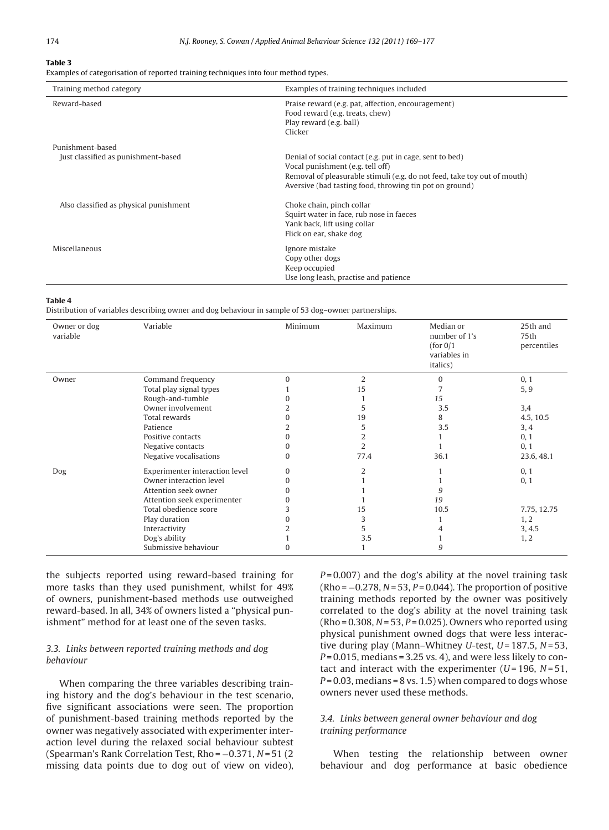#### <span id="page-5-0"></span>**Table 3**

Examples of categorisation of reported training techniques into four method types.

| Training method category               | Examples of training techniques included                                                                                                                                                                                            |  |  |
|----------------------------------------|-------------------------------------------------------------------------------------------------------------------------------------------------------------------------------------------------------------------------------------|--|--|
| Reward-based                           | Praise reward (e.g. pat, affection, encouragement)<br>Food reward (e.g. treats, chew)<br>Play reward (e.g. ball)<br>Clicker                                                                                                         |  |  |
| Punishment-based                       |                                                                                                                                                                                                                                     |  |  |
| Just classified as punishment-based    | Denial of social contact (e.g. put in cage, sent to bed)<br>Vocal punishment (e.g. tell off)<br>Removal of pleasurable stimuli (e.g. do not feed, take toy out of mouth)<br>Aversive (bad tasting food, throwing tin pot on ground) |  |  |
| Also classified as physical punishment | Choke chain, pinch collar<br>Squirt water in face, rub nose in faeces<br>Yank back, lift using collar<br>Flick on ear, shake dog                                                                                                    |  |  |
| Miscellaneous                          | Ignore mistake<br>Copy other dogs<br>Keep occupied<br>Use long leash, practise and patience                                                                                                                                         |  |  |

#### **Table 4**

Distribution of variables describing owner and dog behaviour in sample of 53 dog–owner partnerships.

| Owner or dog<br>variable | Variable                       | Minimum  | Maximum        | Median or<br>number of 1's<br>$($ for $0/1$<br>variables in | 25th and<br>75th<br>percentiles |
|--------------------------|--------------------------------|----------|----------------|-------------------------------------------------------------|---------------------------------|
|                          |                                |          |                | italics)                                                    |                                 |
| Owner                    | Command frequency              | 0        | $\overline{2}$ | $\Omega$                                                    | 0, 1                            |
|                          | Total play signal types        |          | 15             |                                                             | 5, 9                            |
|                          | Rough-and-tumble               |          |                | 15                                                          |                                 |
|                          | Owner involvement              |          |                | 3.5                                                         | 3,4                             |
|                          | Total rewards                  |          | 19             | 8                                                           | 4.5, 10.5                       |
|                          | Patience                       |          |                | 3.5                                                         | 3, 4                            |
|                          | Positive contacts              |          |                |                                                             | 0, 1                            |
|                          | Negative contacts              |          |                |                                                             | 0, 1                            |
|                          | Negative vocalisations         | $\Omega$ | 77.4           | 36.1                                                        | 23.6, 48.1                      |
| Dog                      | Experimenter interaction level | O        |                |                                                             | 0, 1                            |
|                          | Owner interaction level        | O        |                |                                                             | 0, 1                            |
|                          | Attention seek owner           |          |                |                                                             |                                 |
|                          | Attention seek experimenter    |          |                | 19                                                          |                                 |
|                          | Total obedience score          |          | 15             | 10.5                                                        | 7.75, 12.75                     |
|                          | Play duration                  |          |                |                                                             | 1, 2                            |
|                          | Interactivity                  |          | 5              | 4                                                           | 3, 4.5                          |
|                          | Dog's ability                  |          | 3.5            |                                                             | 1, 2                            |
|                          | Submissive behaviour           |          |                | 9                                                           |                                 |

the subjects reported using reward-based training for more tasks than they used punishment, whilst for 49% of owners, punishment-based methods use outweighed reward-based. In all, 34% of owners listed a "physical punishment" method for at least one of the seven tasks.

# 3.3. Links between reported training methods and dog behaviour

When comparing the three variables describing training history and the dog's behaviour in the test scenario, five significant associations were seen. The proportion of punishment-based training methods reported by the owner was negatively associated with experimenter interaction level during the relaxed social behaviour subtest (Spearman's Rank Correlation Test, Rho = −0.371, N = 51 (2 missing data points due to dog out of view on video),  $P = 0.007$ ) and the dog's ability at the novel training task  $(Rho = -0.278, N = 53, P = 0.044)$ . The proportion of positive training methods reported by the owner was positively correlated to the dog's ability at the novel training task  $(Rho = 0.308, N = 53, P = 0.025)$ . Owners who reported using physical punishment owned dogs that were less interactive during play (Mann–Whitney U-test,  $U = 187.5$ ,  $N = 53$ ,  $P = 0.015$ , medians = 3.25 vs. 4), and were less likely to contact and interact with the experimenter  $(U = 196, N = 51,$  $P = 0.03$ , medians = 8 vs. 1.5) when compared to dogs whose owners never used these methods.

# 3.4. Links between general owner behaviour and dog training performance

When testing the relationship between owner behaviour and dog performance at basic obedience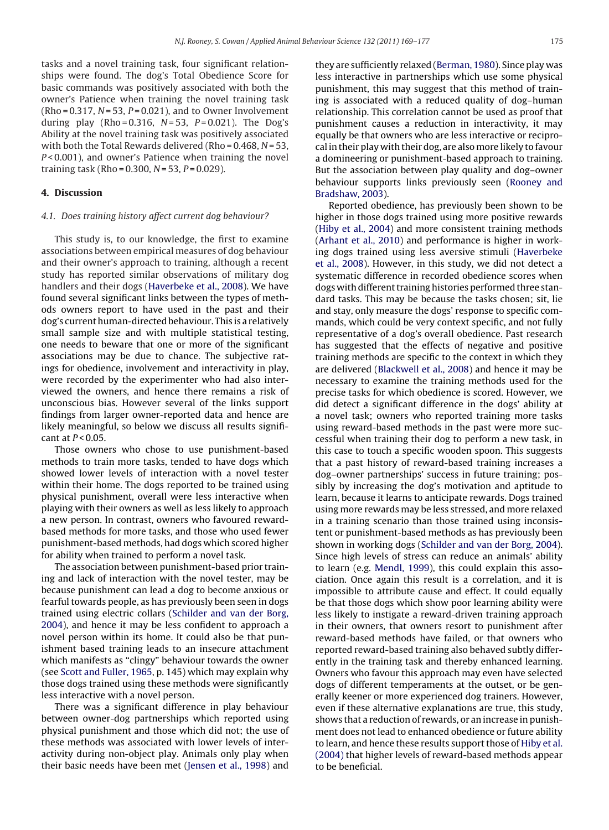tasks and a novel training task, four significant relationships were found. The dog's Total Obedience Score for basic commands was positively associated with both the owner's Patience when training the novel training task  $(Rho = 0.317, N = 53, P = 0.021)$ , and to Owner Involvement during play (Rho = 0.316,  $N = 53$ ,  $P = 0.021$ ). The Dog's Ability at the novel training task was positively associated with both the Total Rewards delivered (Rho =  $0.468$ ,  $N = 53$ , P < 0.001), and owner's Patience when training the novel training task (Rho =  $0.300$ ,  $N = 53$ ,  $P = 0.029$ ).

#### **4. Discussion**

# 4.1. Does training history affect current dog behaviour?

This study is, to our knowledge, the first to examine associations between empirical measures of dog behaviour and their owner's approach to training, although a recent study has reported similar observations of military dog handlers and their dogs ([Haverbeke et al., 2008\).](#page-8-0) We have found several significant links between the types of methods owners report to have used in the past and their dog's current human-directed behaviour. This is a relatively small sample size and with multiple statistical testing, one needs to beware that one or more of the significant associations may be due to chance. The subjective ratings for obedience, involvement and interactivity in play, were recorded by the experimenter who had also interviewed the owners, and hence there remains a risk of unconscious bias. However several of the links support findings from larger owner-reported data and hence are likely meaningful, so below we discuss all results significant at  $P < 0.05$ .

Those owners who chose to use punishment-based methods to train more tasks, tended to have dogs which showed lower levels of interaction with a novel tester within their home. The dogs reported to be trained using physical punishment, overall were less interactive when playing with their owners as well as less likely to approach a new person. In contrast, owners who favoured rewardbased methods for more tasks, and those who used fewer punishment-based methods, had dogs which scored higher for ability when trained to perform a novel task.

The association between punishment-based prior training and lack of interaction with the novel tester, may be because punishment can lead a dog to become anxious or fearful towards people, as has previously been seen in dogs trained using electric collars [\(Schilder and van der Borg,](#page-8-0) [2004\),](#page-8-0) and hence it may be less confident to approach a novel person within its home. It could also be that punishment based training leads to an insecure attachment which manifests as "clingy" behaviour towards the owner (see [Scott and Fuller, 1965, p](#page-8-0). 145) which may explain why those dogs trained using these methods were significantly less interactive with a novel person.

There was a significant difference in play behaviour between owner-dog partnerships which reported using physical punishment and those which did not; the use of these methods was associated with lower levels of interactivity during non-object play. Animals only play when their basic needs have been met ([Jensen et al., 1998\)](#page-8-0) and they are sufficiently relaxed [\(Berman, 1980\).](#page-8-0) Since play was less interactive in partnerships which use some physical punishment, this may suggest that this method of training is associated with a reduced quality of dog–human relationship. This correlation cannot be used as proof that punishment causes a reduction in interactivity, it may equally be that owners who are less interactive or reciprocal in their play with their dog, are also more likely to favour a domineering or punishment-based approach to training. But the association between play quality and dog–owner behaviour supports links previously seen ([Rooney and](#page-8-0) [Bradshaw, 2003\).](#page-8-0)

Reported obedience, has previously been shown to be higher in those dogs trained using more positive rewards [\(Hiby et al., 2004\)](#page-8-0) and more consistent training methods [\(Arhant et al., 2010\)](#page-8-0) and performance is higher in working dogs trained using less aversive stimuli [\(Haverbeke](#page-8-0) [et al., 2008\).](#page-8-0) However, in this study, we did not detect a systematic difference in recorded obedience scores when dogs with different training histories performed three standard tasks. This may be because the tasks chosen; sit, lie and stay, only measure the dogs' response to specific commands, which could be very context specific, and not fully representative of a dog's overall obedience. Past research has suggested that the effects of negative and positive training methods are specific to the context in which they are delivered ([Blackwell et al., 2008\)](#page-8-0) and hence it may be necessary to examine the training methods used for the precise tasks for which obedience is scored. However, we did detect a significant difference in the dogs' ability at a novel task; owners who reported training more tasks using reward-based methods in the past were more successful when training their dog to perform a new task, in this case to touch a specific wooden spoon. This suggests that a past history of reward-based training increases a dog–owner partnerships' success in future training; possibly by increasing the dog's motivation and aptitude to learn, because it learns to anticipate rewards. Dogs trained using more rewards may be less stressed, and more relaxed in a training scenario than those trained using inconsistent or punishment-based methods as has previously been shown in working dogs ([Schilder and van der Borg, 2004\).](#page-8-0) Since high levels of stress can reduce an animals' ability to learn (e.g. [Mendl, 1999\),](#page-8-0) this could explain this association. Once again this result is a correlation, and it is impossible to attribute cause and effect. It could equally be that those dogs which show poor learning ability were less likely to instigate a reward-driven training approach in their owners, that owners resort to punishment after reward-based methods have failed, or that owners who reported reward-based training also behaved subtly differently in the training task and thereby enhanced learning. Owners who favour this approach may even have selected dogs of different temperaments at the outset, or be generally keener or more experienced dog trainers. However, even if these alternative explanations are true, this study, shows that a reduction of rewards, or an increase in punishment does not lead to enhanced obedience or future ability to learn, and hence these results support those of [Hiby et al.](#page-8-0) [\(2004\)](#page-8-0) that higher levels of reward-based methods appear to be beneficial.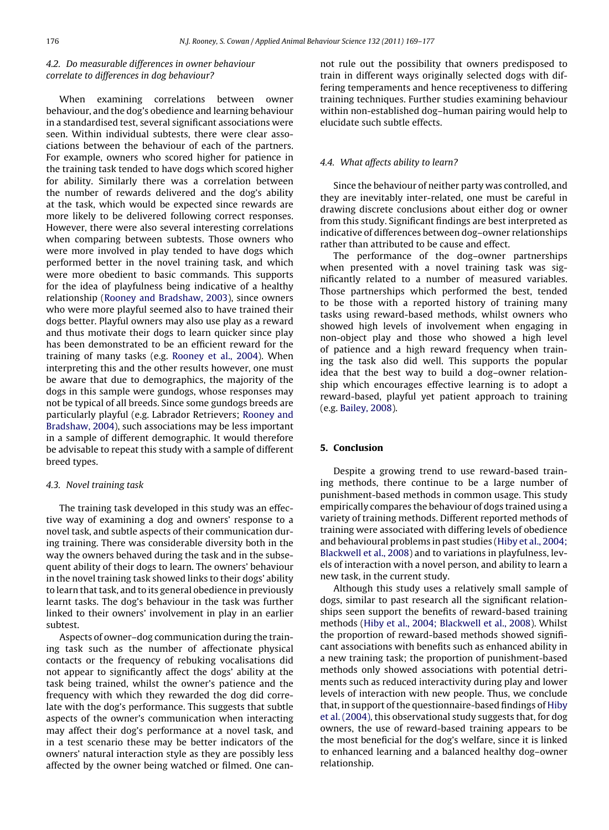# 4.2. Do measurable differences in owner behaviour correlate to differences in dog behaviour?

When examining correlations between owner behaviour, and the dog's obedience and learning behaviour in a standardised test, several significant associations were seen. Within individual subtests, there were clear associations between the behaviour of each of the partners. For example, owners who scored higher for patience in the training task tended to have dogs which scored higher for ability. Similarly there was a correlation between the number of rewards delivered and the dog's ability at the task, which would be expected since rewards are more likely to be delivered following correct responses. However, there were also several interesting correlations when comparing between subtests. Those owners who were more involved in play tended to have dogs which performed better in the novel training task, and which were more obedient to basic commands. This supports for the idea of playfulness being indicative of a healthy relationship [\(Rooney and Bradshaw, 2003\),](#page-8-0) since owners who were more playful seemed also to have trained their dogs better. Playful owners may also use play as a reward and thus motivate their dogs to learn quicker since play has been demonstrated to be an efficient reward for the training of many tasks (e.g. [Rooney et al., 2004\).](#page-8-0) When interpreting this and the other results however, one must be aware that due to demographics, the majority of the dogs in this sample were gundogs, whose responses may not be typical of all breeds. Since some gundogs breeds are particularly playful (e.g. Labrador Retrievers; [Rooney and](#page-8-0) [Bradshaw, 2004\),](#page-8-0) such associations may be less important in a sample of different demographic. It would therefore be advisable to repeat this study with a sample of different breed types.

# 4.3. Novel training task

The training task developed in this study was an effective way of examining a dog and owners' response to a novel task, and subtle aspects of their communication during training. There was considerable diversity both in the way the owners behaved during the task and in the subsequent ability of their dogs to learn. The owners' behaviour in the novel training task showed links to their dogs' ability to learn that task, and to its general obedience in previously learnt tasks. The dog's behaviour in the task was further linked to their owners' involvement in play in an earlier subtest.

Aspects of owner–dog communication during the training task such as the number of affectionate physical contacts or the frequency of rebuking vocalisations did not appear to significantly affect the dogs' ability at the task being trained, whilst the owner's patience and the frequency with which they rewarded the dog did correlate with the dog's performance. This suggests that subtle aspects of the owner's communication when interacting may affect their dog's performance at a novel task, and in a test scenario these may be better indicators of the owners' natural interaction style as they are possibly less affected by the owner being watched or filmed. One cannot rule out the possibility that owners predisposed to train in different ways originally selected dogs with differing temperaments and hence receptiveness to differing training techniques. Further studies examining behaviour within non-established dog–human pairing would help to elucidate such subtle effects.

# 4.4. What affects ability to learn?

Since the behaviour of neither party was controlled, and they are inevitably inter-related, one must be careful in drawing discrete conclusions about either dog or owner from this study. Significant findings are best interpreted as indicative of differences between dog–owner relationships rather than attributed to be cause and effect.

The performance of the dog–owner partnerships when presented with a novel training task was significantly related to a number of measured variables. Those partnerships which performed the best, tended to be those with a reported history of training many tasks using reward-based methods, whilst owners who showed high levels of involvement when engaging in non-object play and those who showed a high level of patience and a high reward frequency when training the task also did well. This supports the popular idea that the best way to build a dog–owner relationship which encourages effective learning is to adopt a reward-based, playful yet patient approach to training (e.g. [Bailey, 2008\).](#page-8-0)

# **5. Conclusion**

Despite a growing trend to use reward-based training methods, there continue to be a large number of punishment-based methods in common usage. This study empirically compares the behaviour of dogs trained using a variety of training methods. Different reported methods of training were associated with differing levels of obedience and behavioural problems in past studies ([Hiby et al., 2004;](#page-8-0) [Blackwell et al., 2008\) a](#page-8-0)nd to variations in playfulness, levels of interaction with a novel person, and ability to learn a new task, in the current study.

Although this study uses a relatively small sample of dogs, similar to past research all the significant relationships seen support the benefits of reward-based training methods [\(Hiby et al., 2004; Blackwell et al., 2008\).](#page-8-0) Whilst the proportion of reward-based methods showed significant associations with benefits such as enhanced ability in a new training task; the proportion of punishment-based methods only showed associations with potential detriments such as reduced interactivity during play and lower levels of interaction with new people. Thus, we conclude that, in support of the questionnaire-based findings of [Hiby](#page-8-0) [et al. \(2004\), t](#page-8-0)his observational study suggests that, for dog owners, the use of reward-based training appears to be the most beneficial for the dog's welfare, since it is linked to enhanced learning and a balanced healthy dog–owner relationship.